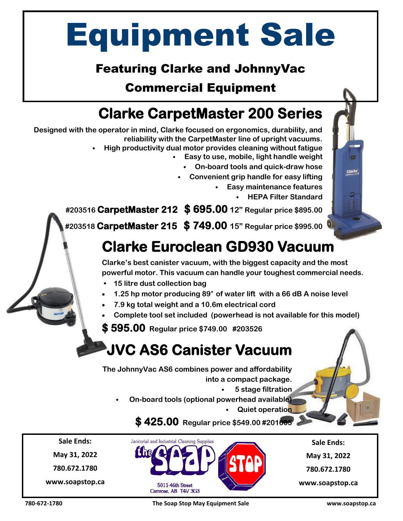# Equipment Sale

### Featuring Clarke and JohnnyVac

### Commercial Equipment

# **Clarke CarpetMaster 200 Series**

**Designed with the operator in mind, Clarke focused on ergonomics, durability, and reliability with the CarpetMaster line of upright vacuums.**  • **High productivity dual motor provides cleaning without fatigue** • **Easy to use, mobile, light handle weight** • **On-board tools and quick-draw hose** • **Convenient grip handle for easy lifting** • **Easy maintenance features**  • **HEPA Filter Standard #203516 CarpetMaster 212 \$ 695.00 12" Regular price \$895.00 #203518 CarpetMaster 215 \$ 749.00 15" Regular price \$995.00 Clarke Euroclean GD930 Vacuum Clarke's best canister vacuum, with the biggest capacity and the most powerful motor. This vacuum can handle your toughest commercial needs. • 15 litre dust collection bag 1.25 hp motor producing 89**″ **of water lift with a 66 dB A noise level 7.9 kg total weight and a 10.6m electrical cord Complete tool set included (powerhead is not available for this model) \$ 595.00 Regular price \$749.00 #203526 JVC AS6 Canister Vacuum The JohnnyVac AS6 combines power and affordability into a compact package.** • **5 stage filtration** • **On-board tools (optional powerhead available)** • **Quiet operation**

**\$ 425.00 Regular price \$549.00 #201605** 

**Sale Ends: May 31, 2022 780.672.1780**

**www.soapstop.ca**

**Sale Ends: May 31, 2022 780.672.1780**

**www.soapstop.ca**



Janitorial and Industrial Cleaning Supplies

**780-672-1780 The Soap Stop May Equipment Sale www.soapstop.ca**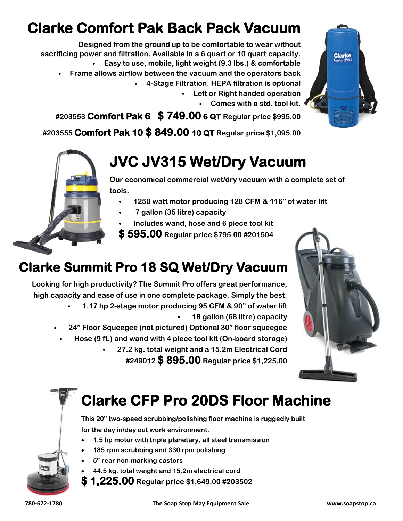# **Clarke Comfort Pak Back Pack Vacuum**

**Designed from the ground up to be comfortable to wear without sacrificing power and filtration. Available in a 6 quart or 10 quart capacity.** • **Easy to use, mobile, light weight (9.3 lbs.) & comfortable** 

- **Frame allows airflow between the vacuum and the operators back**
	- **4-Stage Filtration. HEPA filtration is optional**
		- **Left or Right handed operation**
			- **Comes with a std. tool kit.**

**#203553 Comfort Pak 6 \$ 749.00 6 QT Regular price \$995.00** 

**#203555 Comfort Pak 10 \$ 849.00 10 QT Regular price \$1,095.00**

# **JVC JV315 Wet/Dry Vacuum**

**Our economical commercial wet/dry vacuum with a complete set of tools.**

- **1250 watt motor producing 128 CFM & 116" of water lift**
- **7 gallon (35 litre) capacity**
- **Includes wand, hose and 6 piece tool kit**

**\$ 595.00 Regular price \$795.00 #201504** 

# **Clarke Summit Pro 18 SQ Wet/Dry Vacuum**

**Looking for high productivity? The Summit Pro offers great performance, high capacity and ease of use in one complete package. Simply the best.**

> • **1.17 hp 2-stage motor producing 95 CFM & 90" of water lift** • **18 gallon (68 litre) capacity**

• **24" Floor Squeegee (not pictured) Optional 30" floor squeegee**

- **Hose (9 ft.) and wand with 4 piece tool kit (On-board storage)**
	- **27.2 kg. total weight and a 15.2m Electrical Cord #249012 \$ 895.00 Regular price \$1,225.00**



# **Clarke CFP Pro 20DS Floor Machine**

**This 20" two-speed scrubbing/polishing floor machine is ruggedly built for the day in/day out work environment.** 

- **1.5 hp motor with triple planetary, all steel transmission**
- **185 rpm scrubbing and 330 rpm polishing**
- **5" rear non-marking castors**
- **44.5 kg. total weight and 15.2m electrical cord**
- **\$ 1,225.00 Regular price \$1,649.00 #203502**

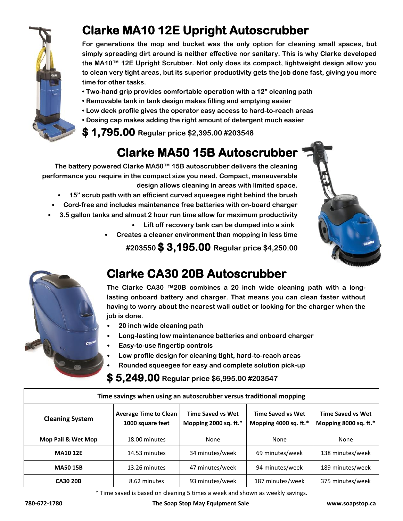

### **Clarke MA10 12E Upright Autoscrubber**

**For generations the mop and bucket was the only option for cleaning small spaces, but simply spreading dirt around is neither effective nor sanitary. This is why Clarke developed the MA10™ 12E Upright Scrubber. Not only does its compact, lightweight design allow you to clean very tight areas, but its superior productivity gets the job done fast, giving you more time for other tasks.** 

- **• Two-hand grip provides comfortable operation with a 12" cleaning path**
- **• Removable tank in tank design makes filling and emptying easier**
- **• Low deck profile gives the operator easy access to hard-to-reach areas**
- **• Dosing cap makes adding the right amount of detergent much easier**

#### **\$ 1,795.00 Regular price \$2,395.00 #203548**

## **Clarke MA50 15B Autoscrubber**

**The battery powered Clarke MA50™ 15B autoscrubber delivers the cleaning performance you require in the compact size you need. Compact, maneuverable design allows cleaning in areas with limited space.** 

- **15" scrub path with an efficient curved squeegee right behind the brush**
- **Cord-free and includes maintenance free batteries with on-board charger**
- **3.5 gallon tanks and almost 2 hour run time allow for maximum productivity**
	- **Lift off recovery tank can be dumped into a sink**
	- **Creates a cleaner environment than mopping in less time**

**#203550 \$ 3,195.00 Regular price \$4,250.00**





# **Clarke CA30 20B Autoscrubber**

**The Clarke CA30 ™20B combines a 20 inch wide cleaning path with a longlasting onboard battery and charger. That means you can clean faster without having to worry about the nearest wall outlet or looking for the charger when the job is done.** 

- **20 inch wide cleaning path**
- **Long-lasting low maintenance batteries and onboard charger**
- **Easy-to-use fingertip controls**
- **Low profile design for cleaning tight, hard-to-reach areas**
- **Rounded squeegee for easy and complete solution pick-up**

#### **\$ 5,249.00 Regular price \$6,995.00 #203547**

| Time savings when using an autoscrubber versus traditional mopping |                                                  |                                                   |                                                   |                                                   |
|--------------------------------------------------------------------|--------------------------------------------------|---------------------------------------------------|---------------------------------------------------|---------------------------------------------------|
| <b>Cleaning System</b>                                             | <b>Average Time to Clean</b><br>1000 square feet | <b>Time Saved vs Wet</b><br>Mopping 2000 sq. ft.* | <b>Time Saved vs Wet</b><br>Mopping 4000 sq. ft.* | <b>Time Saved vs Wet</b><br>Mopping 8000 sq. ft.* |
| Mop Pail & Wet Mop                                                 | 18.00 minutes                                    | None                                              | None                                              | None                                              |
| <b>MA10 12E</b>                                                    | 14.53 minutes                                    | 34 minutes/week                                   | 69 minutes/week                                   | 138 minutes/week                                  |
| <b>MA50 15B</b>                                                    | 13.26 minutes                                    | 47 minutes/week                                   | 94 minutes/week                                   | 189 minutes/week                                  |
| <b>CA30 20B</b>                                                    | 8.62 minutes                                     | 93 minutes/week                                   | 187 minutes/week                                  | 375 minutes/week                                  |

\* Time saved is based on cleaning 5 times a week and shown as weekly savings.